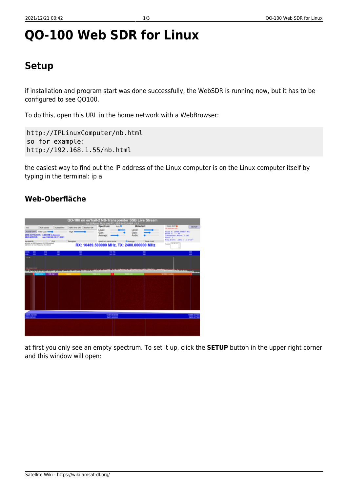# **QO-100 Web SDR for Linux**

## **Setup**

if installation and program start was done successfully, the WebSDR is running now, but it has to be configured to see QO100.

To do this, open this URL in the home network with a WebBrowser:

http://IPLinuxComputer/nb.html so for example: http://192.168.1.55/nb.html

the easiest way to find out the IP address of the Linux computer is on the Linux computer itself by typing in the terminal: ip a

## **Web-Oberfläche**



at first you only see an empty spectrum. To set it up, click the **SETUP** button in the upper right corner and this window will open: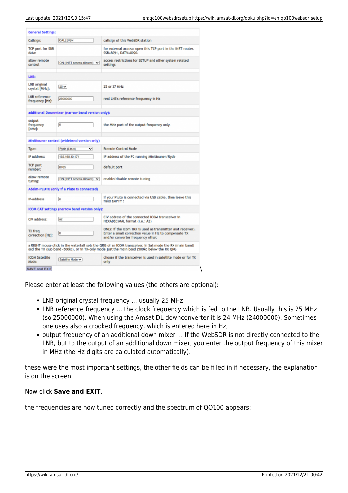| <b>General Settings:</b>                |                                                  |                                                                                                                                                                                                         |  |  |
|-----------------------------------------|--------------------------------------------------|---------------------------------------------------------------------------------------------------------------------------------------------------------------------------------------------------------|--|--|
| Callsign:                               | CALLSIGN<br>callsign of this WebSDR station      |                                                                                                                                                                                                         |  |  |
| TCP port for SDR<br>data:               |                                                  | for external access: open this TCP port in the INET router.<br>SSB=8091, DATV=8090.                                                                                                                     |  |  |
| allow remote<br>control                 | ON (INET access allowed) V                       | access restrictions for SETUP and other system related<br>settings                                                                                                                                      |  |  |
| LNB:                                    |                                                  |                                                                                                                                                                                                         |  |  |
| LNB original<br>crystal [MHz]:          | $25 -$                                           | 25 or 27 MHz                                                                                                                                                                                            |  |  |
| <b>LNB</b> reference<br>frequency [Hz]: | 25000000                                         | real LNB's reference frequency in Hz                                                                                                                                                                    |  |  |
|                                         | additional Downmixer (narrow band version only): |                                                                                                                                                                                                         |  |  |
| output<br>frequency<br>$[MHz]$ :        | O                                                | the MHz part of the output frequency only.                                                                                                                                                              |  |  |
|                                         | Minitiouner control (wideband version only)      |                                                                                                                                                                                                         |  |  |
| Type:                                   | v<br>Ryde (Linux)                                | <b>Remote Control Mode</b>                                                                                                                                                                              |  |  |
| IP address:                             | 192.168.10.171                                   | IP address of the PC running Minitiouner/Ryde                                                                                                                                                           |  |  |
| <b>TCP port</b><br>number:              | 8765                                             | default port                                                                                                                                                                                            |  |  |
| allow remote<br>tuning:                 | ON (INET access allowed) V                       | enable/disable remote tuning                                                                                                                                                                            |  |  |
|                                         | Adalm-PLUTO (only If a Pluto Is connected)       |                                                                                                                                                                                                         |  |  |
| IP-address                              | o                                                | if your Pluto is connected via USB cable, then leave this<br>field EMPTY!                                                                                                                               |  |  |
|                                         | ICOM CAT settings (narrow band version only):    |                                                                                                                                                                                                         |  |  |
| CIV address:                            | a2                                               | CIV address of the connected ICOM transceiver in<br>HEXADECIMAL format (i.e.: A2)                                                                                                                       |  |  |
| TX freq<br>correction [Hz]:             | o                                                | ONLY: if the icom TRX is used as transmitter (not receiver).<br>Enter a small correction value in Hz to compensate TX<br>and/or converter frequency offset                                              |  |  |
|                                         |                                                  | a RIGHT mouse click in the waterfall sets the QRG of an ICOM transceiver. In Sat-mode the RX (main band)<br>and the TX (sub band -500kc), or in TX-only mode just the main band (500kc below the RX QRG |  |  |
| <b>ICOM Satellite</b><br>Mode:          | Satellite Mode                                   | choose if the transceiver is used in satellite mode or for TX<br>only                                                                                                                                   |  |  |
| <b>SAVE and EXIT</b>                    |                                                  |                                                                                                                                                                                                         |  |  |

Please enter at least the following values (the others are optional):

- LNB original crystal frequency … usually 25 MHz
- LNB reference frequency … the clock frequency which is fed to the LNB. Usually this is 25 MHz (so 25000000). When using the Amsat DL downconverter it is 24 MHz (24000000). Sometimes one uses also a crooked frequency, which is entered here in Hz,
- output frequency of an additional down mixer … If the WebSDR is not directly connected to the LNB, but to the output of an additional down mixer, you enter the output frequency of this mixer in MHz (the Hz digits are calculated automatically).

these were the most important settings, the other fields can be filled in if necessary, the explanation is on the screen.

### Now click **Save and EXIT**.

the frequencies are now tuned correctly and the spectrum of QO100 appears: